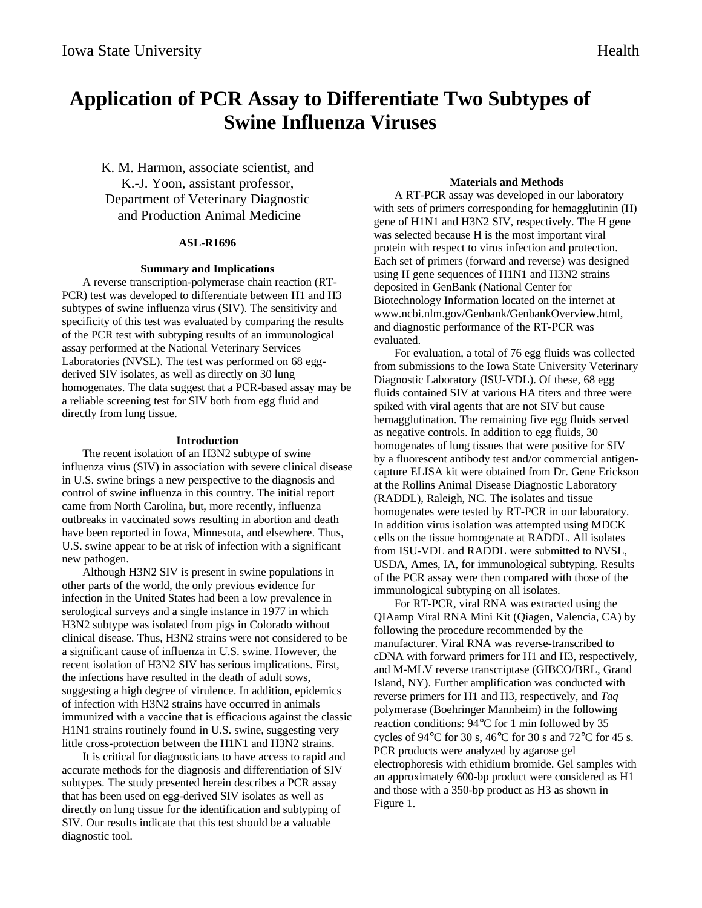# **Application of PCR Assay to Differentiate Two Subtypes of Swine Influenza Viruses**

K. M. Harmon, associate scientist, and K.-J. Yoon, assistant professor, Department of Veterinary Diagnostic and Production Animal Medicine

## **ASL-R1696**

## **Summary and Implications**

A reverse transcription-polymerase chain reaction (RT-PCR) test was developed to differentiate between H1 and H3 subtypes of swine influenza virus (SIV). The sensitivity and specificity of this test was evaluated by comparing the results of the PCR test with subtyping results of an immunological assay performed at the National Veterinary Services Laboratories (NVSL). The test was performed on 68 eggderived SIV isolates, as well as directly on 30 lung homogenates. The data suggest that a PCR-based assay may be a reliable screening test for SIV both from egg fluid and directly from lung tissue.

## **Introduction**

The recent isolation of an H3N2 subtype of swine influenza virus (SIV) in association with severe clinical disease in U.S. swine brings a new perspective to the diagnosis and control of swine influenza in this country. The initial report came from North Carolina, but, more recently, influenza outbreaks in vaccinated sows resulting in abortion and death have been reported in Iowa, Minnesota, and elsewhere. Thus, U.S. swine appear to be at risk of infection with a significant new pathogen.

Although H3N2 SIV is present in swine populations in other parts of the world, the only previous evidence for infection in the United States had been a low prevalence in serological surveys and a single instance in 1977 in which H3N2 subtype was isolated from pigs in Colorado without clinical disease. Thus, H3N2 strains were not considered to be a significant cause of influenza in U.S. swine. However, the recent isolation of H3N2 SIV has serious implications. First, the infections have resulted in the death of adult sows, suggesting a high degree of virulence. In addition, epidemics of infection with H3N2 strains have occurred in animals immunized with a vaccine that is efficacious against the classic H1N1 strains routinely found in U.S. swine, suggesting very little cross-protection between the H1N1 and H3N2 strains.

It is critical for diagnosticians to have access to rapid and accurate methods for the diagnosis and differentiation of SIV subtypes. The study presented herein describes a PCR assay that has been used on egg-derived SIV isolates as well as directly on lung tissue for the identification and subtyping of SIV. Our results indicate that this test should be a valuable diagnostic tool.

## **Materials and Methods**

A RT-PCR assay was developed in our laboratory with sets of primers corresponding for hemagglutinin (H) gene of H1N1 and H3N2 SIV, respectively. The H gene was selected because H is the most important viral protein with respect to virus infection and protection. Each set of primers (forward and reverse) was designed using H gene sequences of H1N1 and H3N2 strains deposited in GenBank (National Center for Biotechnology Information located on the internet at www.ncbi.nlm.gov/Genbank/GenbankOverview.html, and diagnostic performance of the RT-PCR was evaluated.

For evaluation, a total of 76 egg fluids was collected from submissions to the Iowa State University Veterinary Diagnostic Laboratory (ISU-VDL). Of these, 68 egg fluids contained SIV at various HA titers and three were spiked with viral agents that are not SIV but cause hemagglutination. The remaining five egg fluids served as negative controls. In addition to egg fluids, 30 homogenates of lung tissues that were positive for SIV by a fluorescent antibody test and/or commercial antigencapture ELISA kit were obtained from Dr. Gene Erickson at the Rollins Animal Disease Diagnostic Laboratory (RADDL), Raleigh, NC. The isolates and tissue homogenates were tested by RT-PCR in our laboratory. In addition virus isolation was attempted using MDCK cells on the tissue homogenate at RADDL. All isolates from ISU-VDL and RADDL were submitted to NVSL, USDA, Ames, IA, for immunological subtyping. Results of the PCR assay were then compared with those of the immunological subtyping on all isolates.

For RT-PCR, viral RNA was extracted using the QIAamp Viral RNA Mini Kit (Qiagen, Valencia, CA) by following the procedure recommended by the manufacturer. Viral RNA was reverse-transcribed to cDNA with forward primers for H1 and H3, respectively, and M-MLV reverse transcriptase (GIBCO/BRL, Grand Island, NY). Further amplification was conducted with reverse primers for H1 and H3, respectively, and *Taq* polymerase (Boehringer Mannheim) in the following reaction conditions: 94°C for 1 min followed by 35 cycles of 94°C for 30 s, 46°C for 30 s and 72°C for 45 s. PCR products were analyzed by agarose gel electrophoresis with ethidium bromide. Gel samples with an approximately 600-bp product were considered as H1 and those with a 350-bp product as H3 as shown in Figure 1.